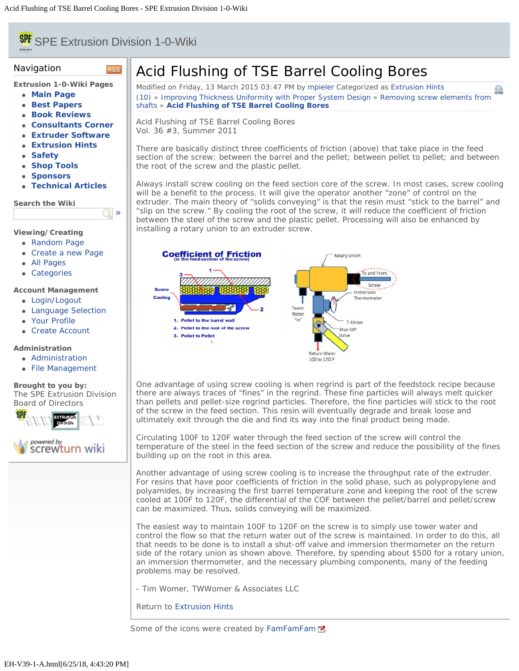# <span id="page-0-0"></span>**SPE** SPE Extrusion Division 1-0-Wiki

**RSS** 

 $\Box$ 

#### Navigation

**Extrusion 1-0-Wiki Pages**

- **[Main Page](file:///Users/spe/websites/Extrusion%20Hints/extrusionwiki.com/wiki/MainPage.html)**
- **[Best Papers](file:///Users/spe/websites/Extrusion%20Hints/extrusionwiki.com/wiki/BestPapers.html)**
- **[Book Reviews](file:///Users/spe/websites/Extrusion%20Hints/extrusionwiki.com/wiki/BookReviews.html)**
- **[Consultants Corner](file:///Users/spe/websites/Extrusion%20Hints/extrusionwiki.com/wiki/ConsultantsCorner.html)**
- **[Extruder Software](file:///Users/spe/websites/Extrusion%20Hints/extrusionwiki.com/wiki/ExtruderSoftware.html)**
- **[Extrusion Hints](file:///Users/spe/websites/Extrusion%20Hints/extrusionwiki.com/wiki/ExtrusionHints.html)**
- **[Safety](file:///Users/spe/websites/Extrusion%20Hints/extrusionwiki.com/wiki/Safety.html)**
- **[Shop Tools](file:///Users/spe/websites/Extrusion%20Hints/extrusionwiki.com/wiki/ShopTools.html)**
- **[Sponsors](file:///Users/spe/websites/Extrusion%20Hints/extrusionwiki.com/wiki/SponsorsMain.html)**
- **[Technical Articles](file:///Users/spe/websites/Extrusion%20Hints/extrusionwiki.com/wiki/POTM.html)**

**Search the Wiki**

## **Viewing/Creating**

- [Random Page](file:///Users/spe/websites/Extrusion%20Hints/extrusionwiki.com/wiki/EH-V22-2-G.html)
- [Create a new Page](file:///Users/spe/websites/Extrusion%20Hints/extrusionwiki.com/wiki/Login1c96.html)
- [All Pages](file:///Users/spe/websites/Extrusion%20Hints/extrusionwiki.com/wiki/AllPages.html)
- [Categories](file:///Users/spe/websites/Extrusion%20Hints/extrusionwiki.com/wiki/Category.html)

#### **Account Management**

- [Login/Logout](file:///Users/spe/websites/Extrusion%20Hints/extrusionwiki.com/wiki/Login.html)
- **[Language Selection](file:///Users/spe/websites/Extrusion%20Hints/extrusionwiki.com/wiki/Language.html)**
- [Your Profile](file:///Users/spe/websites/Extrusion%20Hints/extrusionwiki.com/wiki/Login4c84.html)
- [Create Account](file:///Users/spe/websites/Extrusion%20Hints/extrusionwiki.com/wiki/Register.html)

## **Administration**

- [Administration](file:///Users/spe/websites/Extrusion%20Hints/extrusionwiki.com/wiki/Login2fcc.html)
- [File Management](file:///Users/spe/websites/Extrusion%20Hints/extrusionwiki.com/wiki/Upload.html)

**Brought to you by:** The SPE Extrusion Division [Board of Directors](file:///Users/spe/websites/Extrusion%20Hints/extrusion.4spe.org/index.html)



# Acid Flushing of TSE Barrel Cooling Bores

Modified on Friday, 13 March 2015 03:47 PM by [mpieler](file:///Users/spe/websites/Extrusion%20Hints/extrusionwiki.com/wiki/User67ec.html?Username=mpieler) Categorized as [Extrusion Hints](file:///Users/spe/websites/Extrusion%20Hints/extrusionwiki.com/wiki/AllPages019f.html?Cat=Extrusion%20Hints) [\(10\)](#page-0-0) » [Improving Thickness Uniformity with Proper System Design](file:///Users/spe/websites/Extrusion%20Hints/extrusionwiki.com/wiki/EH-V38-3-A.html) » [Removing screw elements from](file:///Users/spe/websites/Extrusion%20Hints/extrusionwiki.com/wiki/EH-V38-3-C.html) [shafts](file:///Users/spe/websites/Extrusion%20Hints/extrusionwiki.com/wiki/EH-V38-3-C.html) » **[Acid Flushing of TSE Barrel Cooling Bores](#page-0-0)**

A

Acid Flushing of TSE Barrel Cooling Bores Vol. 36 #3, Summer 2011

There are basically distinct three coefficients of friction (above) that take place in the feed section of the screw: between the barrel and the pellet; between pellet to pellet; and between the root of the screw and the plastic pellet.

Always install screw cooling on the feed section core of the screw. In most cases, screw cooling will be a benefit to the process. It will give the operator another "zone" of control on the extruder. The main theory of "solids conveying" is that the resin must "stick to the barrel" and "slip on the screw." By cooling the root of the screw, it will reduce the coefficient of friction between the steel of the screw and the plastic pellet. Processing will also be enhanced by installing a rotary union to an extruder screw.



One advantage of using screw cooling is when regrind is part of the feedstock recipe because there are always traces of "fines" in the regrind. These fine particles will always melt quicker than pellets and pellet-size regrind particles. Therefore, the fine particles will stick to the root of the screw in the feed section. This resin will eventually degrade and break loose and ultimately exit through the die and find its way into the final product being made.

Circulating 100F to 120F water through the feed section of the screw will control the temperature of the steel in the feed section of the screw and reduce the possibility of the fines building up on the root in this area.

Another advantage of using screw cooling is to increase the throughput rate of the extruder. For resins that have poor coefficients of friction in the solid phase, such as polypropylene and polyamides, by increasing the first barrel temperature zone and keeping the root of the screw cooled at 100F to 120F, the differential of the COF between the pellet/barrel and pellet/screw can be maximized. Thus, solids conveying will be maximized.

The easiest way to maintain 100F to 120F on the screw is to simply use tower water and control the flow so that the return water out of the screw is maintained. In order to do this, all that needs to be done is to install a shut-off valve and immersion thermometer on the return side of the rotary union as shown above. Therefore, by spending about \$500 for a rotary union, an immersion thermometer, and the necessary plumbing components, many of the feeding problems may be resolved.

- Tim Womer, TWWomer & Associates LLC

Return to [Extrusion Hints](file:///Users/spe/websites/Extrusion%20Hints/extrusionwiki.com/wiki/ExtrusionHints.html)

Some of the icons were created by [FamFamFam](file:///Users/spe/websites/Extrusion%20Hints/www.famfamfam.com/index.html)